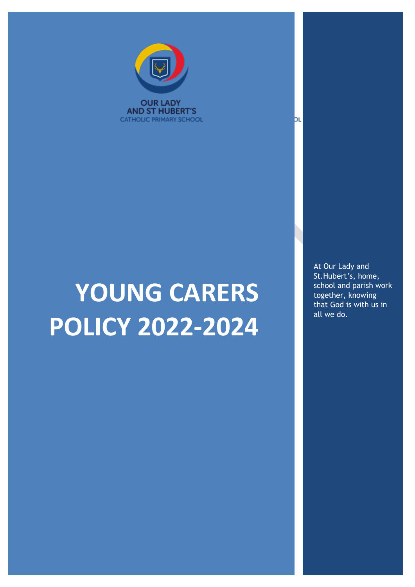

# **YOUNG CARERS POLICY 2022-2024**

At Our Lady and St.Hubert's, home, school and parish work together, knowing that God is with us in all we do.

bι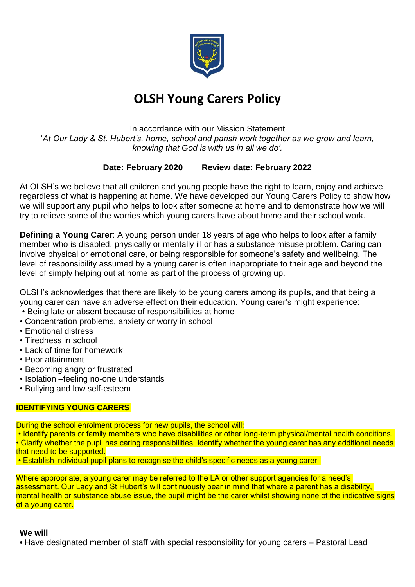

## **OLSH Young Carers Policy**

In accordance with our Mission Statement '*At Our Lady & St. Hubert's, home, school and parish work together as we grow and learn, knowing that God is with us in all we do'.*

### **Date: February 2020 Review date: February 2022**

At OLSH's we believe that all children and young people have the right to learn, enjoy and achieve, regardless of what is happening at home. We have developed our Young Carers Policy to show how we will support any pupil who helps to look after someone at home and to demonstrate how we will try to relieve some of the worries which young carers have about home and their school work.

**Defining a Young Carer**: A young person under 18 years of age who helps to look after a family member who is disabled, physically or mentally ill or has a substance misuse problem. Caring can involve physical or emotional care, or being responsible for someone's safety and wellbeing. The level of responsibility assumed by a young carer is often inappropriate to their age and beyond the level of simply helping out at home as part of the process of growing up.

OLSH's acknowledges that there are likely to be young carers among its pupils, and that being a young carer can have an adverse effect on their education. Young carer's might experience:

- Being late or absent because of responsibilities at home
- Concentration problems, anxiety or worry in school
- Emotional distress
- Tiredness in school
- Lack of time for homework
- Poor attainment
- Becoming angry or frustrated
- Isolation –feeling no-one understands
- Bullying and low self-esteem

#### **IDENTIFYING YOUNG CARERS**

During the school enrolment process for new pupils, the school will:

• Identify parents or family members who have disabilities or other long-term physical/mental health conditions. • Clarify whether the pupil has caring responsibilities. Identify whether the young carer has any additional needs that need to be supported.

• Establish individual pupil plans to recognise the child's specific needs as a young carer.

Where appropriate, a young carer may be referred to the LA or other support agencies for a need's assessment. Our Lady and St Hubert's will continuously bear in mind that where a parent has a disability, mental health or substance abuse issue, the pupil might be the carer whilst showing none of the indicative signs of a young carer.

#### **We will**

**•** Have designated member of staff with special responsibility for young carers – Pastoral Lead